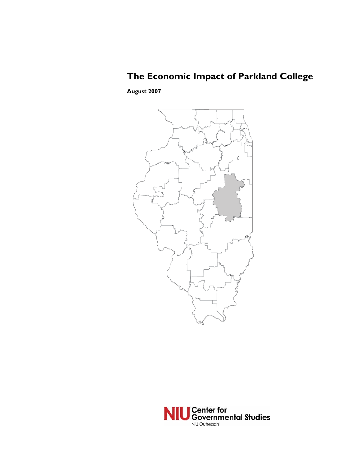# **The Economic Impact of Parkland College**

**August 2007** 



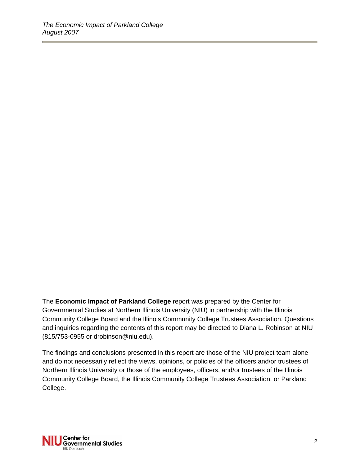The **Economic Impact of Parkland College** report was prepared by the Center for Governmental Studies at Northern Illinois University (NIU) in partnership with the Illinois Community College Board and the Illinois Community College Trustees Association. Questions and inquiries regarding the contents of this report may be directed to Diana L. Robinson at NIU (815/753-0955 or drobinson@niu.edu).

The findings and conclusions presented in this report are those of the NIU project team alone and do not necessarily reflect the views, opinions, or policies of the officers and/or trustees of Northern Illinois University or those of the employees, officers, and/or trustees of the Illinois Community College Board, the Illinois Community College Trustees Association, or Parkland College.

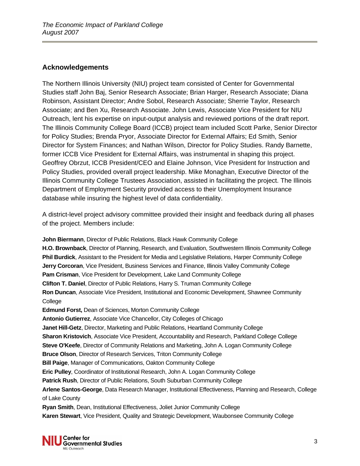## **Acknowledgements**

The Northern Illinois University (NIU) project team consisted of Center for Governmental Studies staff John Baj, Senior Research Associate; Brian Harger, Research Associate; Diana Robinson, Assistant Director; Andre Sobol, Research Associate; Sherrie Taylor, Research Associate; and Ben Xu, Research Associate. John Lewis, Associate Vice President for NIU Outreach, lent his expertise on input-output analysis and reviewed portions of the draft report. The Illinois Community College Board (ICCB) project team included Scott Parke, Senior Director for Policy Studies; Brenda Pryor, Associate Director for External Affairs; Ed Smith, Senior Director for System Finances; and Nathan Wilson, Director for Policy Studies. Randy Barnette, former ICCB Vice President for External Affairs, was instrumental in shaping this project. Geoffrey Obrzut, ICCB President/CEO and Elaine Johnson, Vice President for Instruction and Policy Studies, provided overall project leadership. Mike Monaghan, Executive Director of the Illinois Community College Trustees Association, assisted in facilitating the project. The Illinois Department of Employment Security provided access to their Unemployment Insurance database while insuring the highest level of data confidentiality.

A district-level project advisory committee provided their insight and feedback during all phases of the project. Members include:

**John Biermann**, Director of Public Relations, Black Hawk Community College **H.O. Brownback**, Director of Planning, Research, and Evaluation, Southwestern Illinois Community College **Phil Burdick**, Assistant to the President for Media and Legislative Relations, Harper Community College **Jerry Corcoran**, Vice President, Business Services and Finance, Illinois Valley Community College **Pam Crisman**, Vice President for Development, Lake Land Community College **Clifton T. Daniel**, Director of Public Relations, Harry S. Truman Community College **Ron Duncan**, Associate Vice President, Institutional and Economic Development, Shawnee Community College **Edmund Forst,** Dean of Sciences, Morton Community College **Antonio Gutierrez**, Associate Vice Chancellor, City Colleges of Chicago **Janet Hill-Getz**, Director, Marketing and Public Relations, Heartland Community College **Sharon Kristovich**, Associate Vice President, Accountability and Research, Parkland College College **Steve O'Keefe**, Director of Community Relations and Marketing, John A. Logan Community College **Bruce Olson**, Director of Research Services, Triton Community College **Bill Paige**, Manager of Communications, Oakton Community College **Eric Pulley**, Coordinator of Institutional Research, John A. Logan Community College **Patrick Rush**, Director of Public Relations, South Suburban Community College **Arlene Santos-George**, Data Research Manager, Institutional Effectiveness, Planning and Research, College of Lake County **Ryan Smith**, Dean, Institutional Effectiveness, Joliet Junior Community College **Karen Stewart**, Vice President, Quality and Strategic Development, Waubonsee Community College

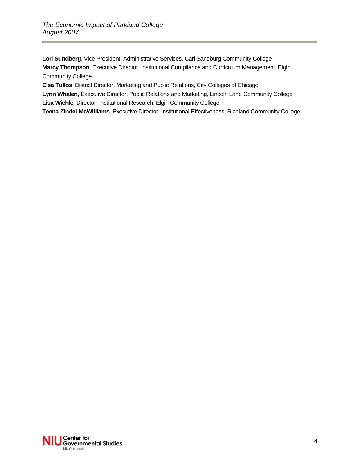**Lori Sundberg**, Vice President, Administrative Services, Carl Sandburg Community College **Marcy Thompson**, Executive Director, Institutional Compliance and Curriculum Management, Elgin Community College

**Elsa Tullos**, District Director, Marketing and Public Relations, City Colleges of Chicago

**Lynn Whalen**, Executive Director, Public Relations and Marketing, Lincoln Land Community College **Lisa Wiehle**, Director, Institutional Research, Elgin Community College

**Teena Zindel-McWilliams**, Executive Director, Institutional Effectiveness, Richland Community College

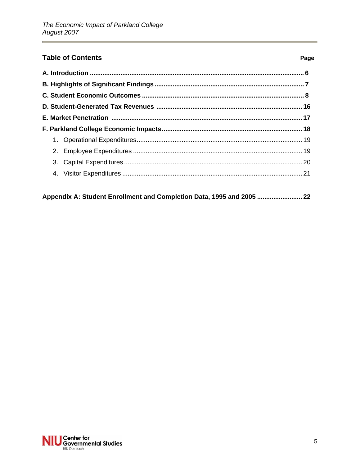# **Table of Contents**

 $\overline{\phantom{a}}$ 

| Appendix A: Student Enrollment and Completion Data, 1995 and 2005  22 |  |
|-----------------------------------------------------------------------|--|
|-----------------------------------------------------------------------|--|

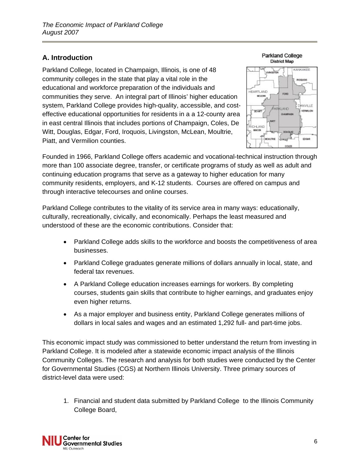# **A. Introduction**

Parkland College, located in Champaign, Illinois, is one of 48 community colleges in the state that play a vital role in the educational and workforce preparation of the individuals and communities they serve. An integral part of Illinois' higher education system, Parkland College provides high-quality, accessible, and costeffective educational opportunities for residents in a a 12-county area in east central Illinois that includes portions of Champaign, Coles, De Witt, Douglas, Edgar, Ford, Iroquois, Livingston, McLean, Moultrie, Piatt, and Vermilion counties.





Founded in 1966, Parkland College offers academic and vocational-technical instruction through more than 100 associate degree, transfer, or certificate programs of study as well as adult and continuing education programs that serve as a gateway to higher education for many community residents, employers, and K-12 students. Courses are offered on campus and through interactive telecourses and online courses.

Parkland College contributes to the vitality of its service area in many ways: educationally, culturally, recreationally, civically, and economically. Perhaps the least measured and understood of these are the economic contributions. Consider that:

- Parkland College adds skills to the workforce and boosts the competitiveness of area businesses.
- Parkland College graduates generate millions of dollars annually in local, state, and federal tax revenues.
- A Parkland College education increases earnings for workers. By completing courses, students gain skills that contribute to higher earnings, and graduates enjoy even higher returns.
- As a major employer and business entity, Parkland College generates millions of dollars in local sales and wages and an estimated 1,292 full- and part-time jobs.

This economic impact study was commissioned to better understand the return from investing in Parkland College. It is modeled after a statewide economic impact analysis of the Illinois Community Colleges. The research and analysis for both studies were conducted by the Center for Governmental Studies (CGS) at Northern Illinois University. Three primary sources of district-level data were used:

1. Financial and student data submitted by Parkland College to the Illinois Community College Board,

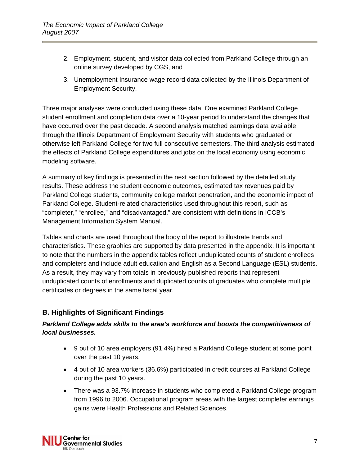- 2. Employment, student, and visitor data collected from Parkland College through an online survey developed by CGS, and
- 3. Unemployment Insurance wage record data collected by the Illinois Department of Employment Security.

Three major analyses were conducted using these data. One examined Parkland College student enrollment and completion data over a 10-year period to understand the changes that have occurred over the past decade. A second analysis matched earnings data available through the Illinois Department of Employment Security with students who graduated or otherwise left Parkland College for two full consecutive semesters. The third analysis estimated the effects of Parkland College expenditures and jobs on the local economy using economic modeling software.

A summary of key findings is presented in the next section followed by the detailed study results. These address the student economic outcomes, estimated tax revenues paid by Parkland College students, community college market penetration, and the economic impact of Parkland College. Student-related characteristics used throughout this report, such as "completer," "enrollee," and "disadvantaged," are consistent with definitions in ICCB's Management Information System Manual.

Tables and charts are used throughout the body of the report to illustrate trends and characteristics. These graphics are supported by data presented in the appendix. It is important to note that the numbers in the appendix tables reflect unduplicated counts of student enrollees and completers and include adult education and English as a Second Language (ESL) students. As a result, they may vary from totals in previously published reports that represent unduplicated counts of enrollments and duplicated counts of graduates who complete multiple certificates or degrees in the same fiscal year.

# **B. Highlights of Significant Findings**

## *Parkland College adds skills to the area's workforce and boosts the competitiveness of local businesses.*

- 9 out of 10 area employers (91.4%) hired a Parkland College student at some point over the past 10 years.
- 4 out of 10 area workers (36.6%) participated in credit courses at Parkland College during the past 10 years.
- There was a 93.7% increase in students who completed a Parkland College program from 1996 to 2006. Occupational program areas with the largest completer earnings gains were Health Professions and Related Sciences.

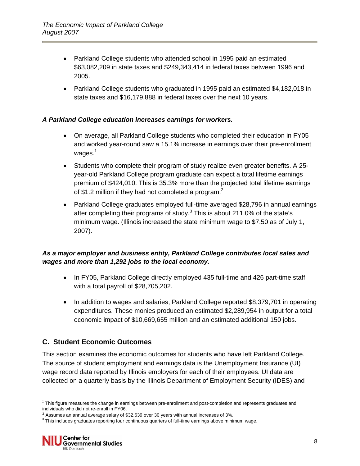- Parkland College students who attended school in 1995 paid an estimated \$63,082,209 in state taxes and \$249,343,414 in federal taxes between 1996 and 2005.
- Parkland College students who graduated in 1995 paid an estimated \$4,182,018 in state taxes and \$16,179,888 in federal taxes over the next 10 years.

## *A Parkland College education increases earnings for workers.*

- On average, all Parkland College students who completed their education in FY05 and worked year-round saw a 15.1% increase in earnings over their pre-enrollment wages. $^{\mathrm{1}}$
- Students who complete their program of study realize even greater benefits. A 25 year-old Parkland College program graduate can expect a total lifetime earnings premium of \$424,010. This is 35.3% more than the projected total lifetime earnings of \$1.2 million if they had not completed a program.<sup>2</sup>
- Parkland College graduates employed full-time averaged \$28,796 in annual earnings after completing their programs of study. $3$  This is about 211.0% of the state's minimum wage. (Illinois increased the state minimum wage to \$7.50 as of July 1, 2007).

# *As a major employer and business entity, Parkland College contributes local sales and wages and more than 1,292 jobs to the local economy.*

- In FY05, Parkland College directly employed 435 full-time and 426 part-time staff with a total payroll of \$28,705,202.
- In addition to wages and salaries, Parkland College reported \$8,379,701 in operating expenditures. These monies produced an estimated \$2,289,954 in output for a total economic impact of \$10,669,655 million and an estimated additional 150 jobs.

# **C. Student Economic Outcomes**

This section examines the economic outcomes for students who have left Parkland College. The source of student employment and earnings data is the Unemployment Insurance (UI) wage record data reported by Illinois employers for each of their employees. UI data are collected on a quarterly basis by the Illinois Department of Employment Security (IDES) and

l

 $1$  This figure measures the change in earnings between pre-enrollment and post-completion and represents graduates and individuals who did not re-enroll in FY06.

 $2$  Assumes an annual average salary of \$32,639 over 30 years with annual increases of 3%.

 $3$  This includes graduates reporting four continuous quarters of full-time earnings above minimum wage.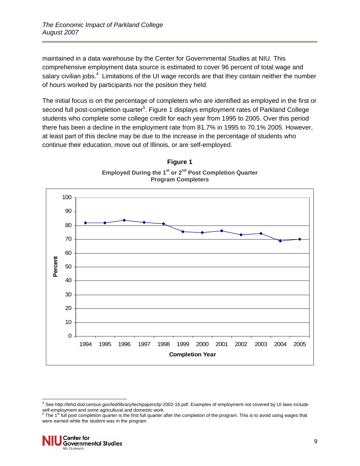maintained in a data warehouse by the Center for Governmental Studies at NIU. This comprehensive employment data source is estimated to cover 96 percent of total wage and salary civilian jobs.<sup>4</sup> Limitations of the UI wage records are that they contain neither the number of hours worked by participants nor the position they held.

The initial focus is on the percentage of completers who are identified as employed in the first or second full post-completion quarter<sup>5</sup>. Figure 1 displays employment rates of Parkland College students who complete some college credit for each year from 1995 to 2005. Over this period there has been a decline in the employment rate from 81.7% in 1995 to 70.1% 2005. However, at least part of this decline may be due to the increase in the percentage of students who continue their education, move out of Illinois, or are self-employed.





were earned while the student was in the program.



l

<sup>4</sup> See http://lehd.dsd.census.gov/led/library/techpapers/tp-2002-16.pdf. Examples of employment not covered by UI laws include self-employment and some agricultural and domestic work.<br><sup>5</sup> The 1<sup>st</sup> full post completion quarter is the first full quarter after the completion of the program. This is to avoid using wages that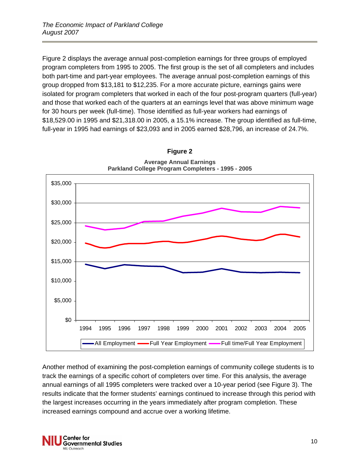Figure 2 displays the average annual post-completion earnings for three groups of employed program completers from 1995 to 2005. The first group is the set of all completers and includes both part-time and part-year employees. The average annual post-completion earnings of this group dropped from \$13,181 to \$12,235. For a more accurate picture, earnings gains were isolated for program completers that worked in each of the four post-program quarters (full-year) and those that worked each of the quarters at an earnings level that was above minimum wage for 30 hours per week (full-time). Those identified as full-year workers had earnings of \$18,529.00 in 1995 and \$21,318.00 in 2005, a 15.1% increase. The group identified as full-time, full-year in 1995 had earnings of \$23,093 and in 2005 earned \$28,796, an increase of 24.7%.



**Figure 2 Average Annual Earnings** 

Another method of examining the post-completion earnings of community college students is to track the earnings of a specific cohort of completers over time. For this analysis, the average annual earnings of all 1995 completers were tracked over a 10-year period (see Figure 3). The results indicate that the former students' earnings continued to increase through this period with the largest increases occurring in the years immediately after program completion. These increased earnings compound and accrue over a working lifetime.

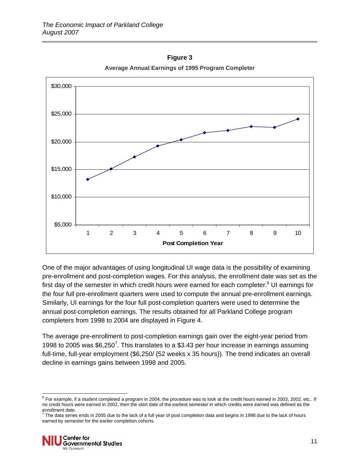

**Figure 3 Average Annual Earnings of 1995 Program Completer** 

One of the major advantages of using longitudinal UI wage data is the possibility of examining pre-enrollment and post-completion wages. For this analysis, the enrollment date was set as the first day of the semester in which credit hours were earned for each completer.<sup>6</sup> UI earnings for the four full pre-enrollment quarters were used to compute the annual pre-enrollment earnings. Similarly, UI earnings for the four full post-completion quarters were used to determine the annual post-completion earnings. The results obtained for all Parkland College program completers from 1998 to 2004 are displayed in Figure 4.

The average pre-enrollment to post-completion earnings gain over the eight-year period from 1998 to 2005 was  $$6,250^7$ . This translates to a \$3.43 per hour increase in earnings assuming full-time, full-year employment (\$6,250/ {52 weeks x 35 hours}). The trend indicates an overall decline in earnings gains between 1998 and 2005.

enrollment date.<br><sup>7</sup> The data series ends in 2005 due to the lack of a full year of post completion data and begins in 1998 due to the lack of hours earned by semester for the earlier completion cohorts.



l  $^6$  For example, if a student completed a program in 2004, the procedure was to look at the credit hours earned in 2003, 2002, etc.. If no credit hours were earned in 2002, then the start date of the earliest semester in which credits were earned was defined as the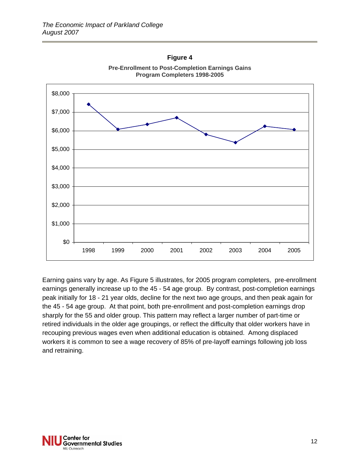

**Pre-Enrollment to Post-Completion Earnings Gains Program Completers 1998-2005** 

**Figure 4** 

Earning gains vary by age. As Figure 5 illustrates, for 2005 program completers, pre-enrollment earnings generally increase up to the 45 - 54 age group. By contrast, post-completion earnings peak initially for 18 - 21 year olds, decline for the next two age groups, and then peak again for the 45 - 54 age group. At that point, both pre-enrollment and post-completion earnings drop sharply for the 55 and older group. This pattern may reflect a larger number of part-time or retired individuals in the older age groupings, or reflect the difficulty that older workers have in recouping previous wages even when additional education is obtained. Among displaced workers it is common to see a wage recovery of 85% of pre-layoff earnings following job loss and retraining.

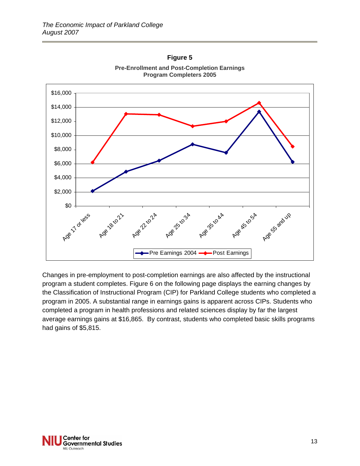

**Pre-Enrollment and Post-Completion Earnings Program Completers 2005** 

**Figure 5** 

Changes in pre-employment to post-completion earnings are also affected by the instructional program a student completes. Figure 6 on the following page displays the earning changes by the Classification of Instructional Program (CIP) for Parkland College students who completed a program in 2005. A substantial range in earnings gains is apparent across CIPs. Students who completed a program in health professions and related sciences display by far the largest average earnings gains at \$16,865. By contrast, students who completed basic skills programs had gains of \$5,815.

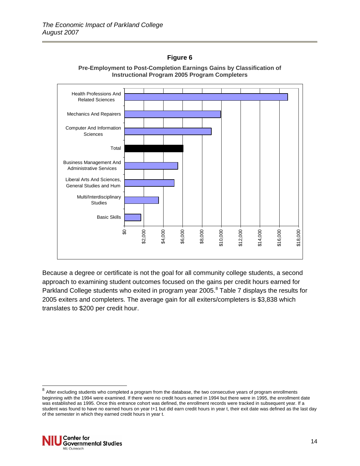## **Figure 6**





Because a degree or certificate is not the goal for all community college students, a second approach to examining student outcomes focused on the gains per credit hours earned for Parkland College students who exited in program year 2005.<sup>8</sup> Table 7 displays the results for 2005 exiters and completers. The average gain for all exiters/completers is \$3,838 which translates to \$200 per credit hour.

 $^8$  After excluding students who completed a program from the database, the two consecutive years of program enrollments beginning with the 1994 were examined. If there were no credit hours earned in 1994 but there were in 1995, the enrollment date was established as 1995. Once this entrance cohort was defined, the enrollment records were tracked in subsequent year. If a student was found to have no earned hours on year t+1 but did earn credit hours in year t, their exit date was defined as the last day of the semester in which they earned credit hours in year t.



l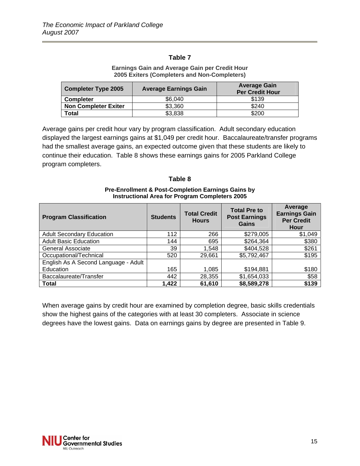#### **Earnings Gain and Average Gain per Credit Hour 2005 Exiters (Completers and Non-Completers)**

| <b>Completer Type 2005</b>  | <b>Average Earnings Gain</b> | <b>Average Gain</b><br><b>Per Credit Hour</b> |  |
|-----------------------------|------------------------------|-----------------------------------------------|--|
| <b>Completer</b>            | \$6,040                      | \$139                                         |  |
| <b>Non Completer Exiter</b> | \$3,360                      | \$240                                         |  |
| Total                       | \$3,838                      | \$200                                         |  |

Average gains per credit hour vary by program classification. Adult secondary education displayed the largest earnings gains at \$1,049 per credit hour. Baccalaureate/transfer programs had the smallest average gains, an expected outcome given that these students are likely to continue their education. Table 8 shows these earnings gains for 2005 Parkland College program completers.

#### **Table 8**

#### **Pre-Enrollment & Post-Completion Earnings Gains by Instructional Area for Program Completers 2005**

| <b>Program Classification</b>        | <b>Students</b> | <b>Total Credit</b><br><b>Hours</b> | <b>Total Pre to</b><br><b>Post Earnings</b><br>Gains | Average<br><b>Earnings Gain</b><br><b>Per Credit</b><br>Hour |
|--------------------------------------|-----------------|-------------------------------------|------------------------------------------------------|--------------------------------------------------------------|
| <b>Adult Secondary Education</b>     | 112             | 266                                 | \$279,005                                            | \$1,049                                                      |
| <b>Adult Basic Education</b>         | 144             | 695                                 | \$264,364                                            | \$380                                                        |
| <b>General Associate</b>             | 39              | 1,548                               | \$404,528                                            | \$261                                                        |
| Occupational/Technical               | 520             | 29,661                              | \$5,792,467                                          | \$195                                                        |
| English As A Second Language - Adult |                 |                                     |                                                      |                                                              |
| Education                            | 165             | 1,085                               | \$194,881                                            | \$180                                                        |
| Baccalaureate/Transfer               | 442             | 28,355                              | \$1,654,033                                          | \$58                                                         |
| <b>Total</b>                         | 1,422           | 61,610                              | \$8,589,278                                          | \$139                                                        |

When average gains by credit hour are examined by completion degree, basic skills credentials show the highest gains of the categories with at least 30 completers. Associate in science degrees have the lowest gains. Data on earnings gains by degree are presented in Table 9.

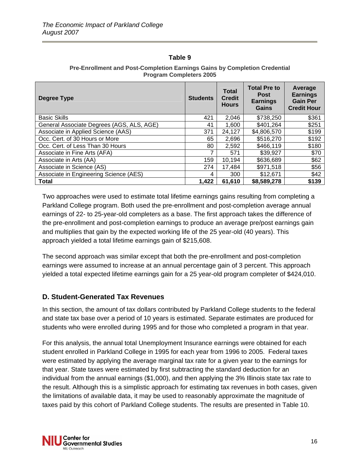| Degree Type                               | <b>Students</b> | <b>Total</b><br><b>Credit</b><br><b>Hours</b> | <b>Total Pre to</b><br><b>Post</b><br><b>Earnings</b> | Average<br><b>Earnings</b><br><b>Gain Per</b> |
|-------------------------------------------|-----------------|-----------------------------------------------|-------------------------------------------------------|-----------------------------------------------|
|                                           |                 |                                               | <b>Gains</b>                                          | <b>Credit Hour</b>                            |
| <b>Basic Skills</b>                       | 421             | 2,046                                         | \$738,250                                             | \$361                                         |
| General Associate Degrees (AGS, ALS, AGE) | 41              | 1,600                                         | \$401,264                                             | \$251                                         |
| Associate in Applied Science (AAS)        | 371             | 24,127                                        | \$4,806,570                                           | \$199                                         |
| Occ. Cert. of 30 Hours or More            | 65              | 2,696                                         | \$516,270                                             | \$192                                         |
| Occ. Cert. of Less Than 30 Hours          | 80              | 2,592                                         | \$466,119                                             | \$180                                         |
| Associate in Fine Arts (AFA)              |                 | 571                                           | \$39,927                                              | \$70                                          |
| Associate in Arts (AA)                    | 159             | 10,194                                        | \$636,689                                             | \$62                                          |
| Associate in Science (AS)                 | 274             | 17,484                                        | \$971,518                                             | \$56                                          |
| Associate in Engineering Science (AES)    | 4               | 300                                           | \$12,671                                              | \$42                                          |
| <b>Total</b>                              | 1,422           | 61.610                                        | \$8,589,278                                           | \$139                                         |

#### **Pre-Enrollment and Post-Completion Earnings Gains by Completion Credential Program Completers 2005**

Two approaches were used to estimate total lifetime earnings gains resulting from completing a Parkland College program. Both used the pre-enrollment and post-completion average annual earnings of 22- to 25-year-old completers as a base. The first approach takes the difference of the pre-enrollment and post-completion earnings to produce an average pre/post earnings gain and multiplies that gain by the expected working life of the 25 year-old (40 years). This approach yielded a total lifetime earnings gain of \$215,608.

The second approach was similar except that both the pre-enrollment and post-completion earnings were assumed to increase at an annual percentage gain of 3 percent. This approach yielded a total expected lifetime earnings gain for a 25 year-old program completer of \$424,010.

# **D. Student-Generated Tax Revenues**

In this section, the amount of tax dollars contributed by Parkland College students to the federal and state tax base over a period of 10 years is estimated. Separate estimates are produced for students who were enrolled during 1995 and for those who completed a program in that year.

For this analysis, the annual total Unemployment Insurance earnings were obtained for each student enrolled in Parkland College in 1995 for each year from 1996 to 2005. Federal taxes were estimated by applying the average marginal tax rate for a given year to the earnings for that year. State taxes were estimated by first subtracting the standard deduction for an individual from the annual earnings (\$1,000), and then applying the 3% Illinois state tax rate to the result. Although this is a simplistic approach for estimating tax revenues in both cases, given the limitations of available data, it may be used to reasonably approximate the magnitude of taxes paid by this cohort of Parkland College students. The results are presented in Table 10.

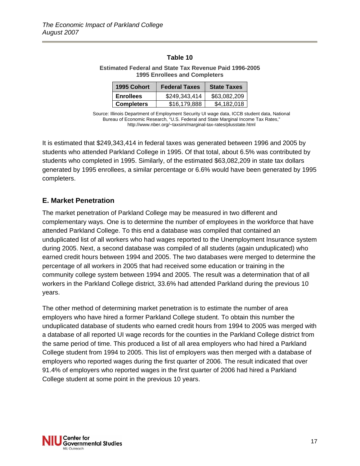#### **Estimated Federal and State Tax Revenue Paid 1996-2005 1995 Enrollees and Completers**

| 1995 Cohort       | <b>Federal Taxes</b> | <b>State Taxes</b> |  |
|-------------------|----------------------|--------------------|--|
| <b>Enrollees</b>  | \$249,343,414        | \$63,082,209       |  |
| <b>Completers</b> | \$16,179,888         | \$4,182,018        |  |

Source: Illinois Department of Employment Security UI wage data, ICCB student data, National Bureau of Economic Research, "U.S. Federal and State Marginal Income Tax Rates," http://www.nber.org/~taxsim/marginal-tax-rates/plusstate.html

It is estimated that \$249,343,414 in federal taxes was generated between 1996 and 2005 by students who attended Parkland College in 1995. Of that total, about 6.5% was contributed by students who completed in 1995. Similarly, of the estimated \$63,082,209 in state tax dollars generated by 1995 enrollees, a similar percentage or 6.6% would have been generated by 1995 completers.

## **E. Market Penetration**

The market penetration of Parkland College may be measured in two different and complementary ways. One is to determine the number of employees in the workforce that have attended Parkland College. To this end a database was compiled that contained an unduplicated list of all workers who had wages reported to the Unemployment Insurance system during 2005. Next, a second database was compiled of all students (again unduplicated) who earned credit hours between 1994 and 2005. The two databases were merged to determine the percentage of all workers in 2005 that had received some education or training in the community college system between 1994 and 2005. The result was a determination that of all workers in the Parkland College district, 33.6% had attended Parkland during the previous 10 years.

The other method of determining market penetration is to estimate the number of area employers who have hired a former Parkland College student. To obtain this number the unduplicated database of students who earned credit hours from 1994 to 2005 was merged with a database of all reported UI wage records for the counties in the Parkland College district from the same period of time. This produced a list of all area employers who had hired a Parkland College student from 1994 to 2005. This list of employers was then merged with a database of employers who reported wages during the first quarter of 2006. The result indicated that over 91.4% of employers who reported wages in the first quarter of 2006 had hired a Parkland College student at some point in the previous 10 years.

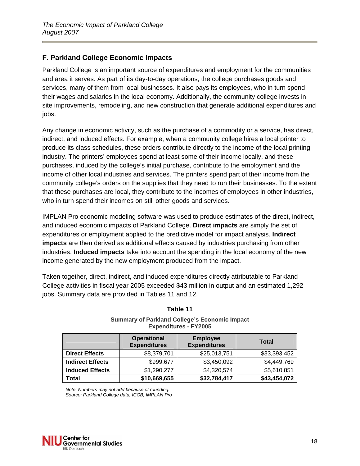# **F. Parkland College Economic Impacts**

Parkland College is an important source of expenditures and employment for the communities and area it serves. As part of its day-to-day operations, the college purchases goods and services, many of them from local businesses. It also pays its employees, who in turn spend their wages and salaries in the local economy. Additionally, the community college invests in site improvements, remodeling, and new construction that generate additional expenditures and jobs.

Any change in economic activity, such as the purchase of a commodity or a service, has direct, indirect, and induced effects. For example, when a community college hires a local printer to produce its class schedules, these orders contribute directly to the income of the local printing industry. The printers' employees spend at least some of their income locally, and these purchases, induced by the college's initial purchase, contribute to the employment and the income of other local industries and services. The printers spend part of their income from the community college's orders on the supplies that they need to run their businesses. To the extent that these purchases are local, they contribute to the incomes of employees in other industries, who in turn spend their incomes on still other goods and services.

IMPLAN Pro economic modeling software was used to produce estimates of the direct, indirect, and induced economic impacts of Parkland College. **Direct impacts** are simply the set of expenditures or employment applied to the predictive model for impact analysis. **Indirect impacts** are then derived as additional effects caused by industries purchasing from other industries. **Induced impacts** take into account the spending in the local economy of the new income generated by the new employment produced from the impact.

Taken together, direct, indirect, and induced expenditures directly attributable to Parkland College activities in fiscal year 2005 exceeded \$43 million in output and an estimated 1,292 jobs. Summary data are provided in Tables 11 and 12.

|                         | <b>Operational</b><br><b>Expenditures</b> | <b>Employee</b><br><b>Expenditures</b> | <b>Total</b> |
|-------------------------|-------------------------------------------|----------------------------------------|--------------|
| <b>Direct Effects</b>   | \$8,379,701                               | \$25,013,751                           | \$33,393,452 |
| <b>Indirect Effects</b> | \$999,677                                 | \$3,450,092                            | \$4,449,769  |
| <b>Induced Effects</b>  | \$1,290,277                               | \$4,320,574                            | \$5,610,851  |
| Total                   | \$10,669,655                              | \$32,784,417                           | \$43,454,072 |

## **Table 11**

#### **Summary of Parkland College's Economic Impact Expenditures - FY2005**

*Note: Numbers may not add because of rounding. Source: Parkland College data, ICCB, IMPLAN Pro*

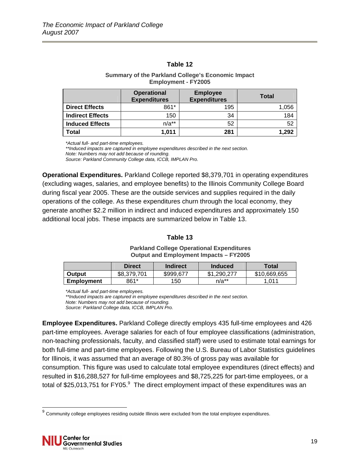#### **Summary of the Parkland College's Economic Impact Employment - FY2005**

|                         | <b>Operational</b><br><b>Expenditures</b> | <b>Employee</b><br><b>Expenditures</b> | <b>Total</b> |
|-------------------------|-------------------------------------------|----------------------------------------|--------------|
| <b>Direct Effects</b>   | 861*                                      | 195                                    | 1,056        |
| <b>Indirect Effects</b> | 150                                       | 34                                     | 184          |
| <b>Induced Effects</b>  | $n/a**$                                   | 52                                     | 52           |
| Total                   | 1,011                                     | 281                                    | 1,292        |

*\*Actual full- and part-time employees.* 

*\*\*Induced impacts are captured in employee expenditures described in the next section. Note: Numbers may not add because of rounding. Source: Parkland Community College data, ICCB, IMPLAN Pro.*

**Operational Expenditures.** Parkland College reported \$8,379,701 in operating expenditures (excluding wages, salaries, and employee benefits) to the Illinois Community College Board during fiscal year 2005. These are the outside services and supplies required in the daily operations of the college. As these expenditures churn through the local economy, they generate another \$2.2 million in indirect and induced expenditures and approximately 150 additional local jobs. These impacts are summarized below in Table 13.

#### **Table 13**

**Parkland College Operational Expenditures Output and Employment Impacts – FY2005** 

|               | <b>Direct</b> | Indirect  | <b>Induced</b> | Total        |
|---------------|---------------|-----------|----------------|--------------|
| <b>Output</b> | \$8.379.701   | \$999,677 | \$1,290,277    | \$10,669,655 |
| Employment    | 861*          | 150       | $n/a**$        | 1.011        |

*\*Actual full- and part-time employees.* 

*\*\*Induced impacts are captured in employee expenditures described in the next section. Note: Numbers may not add because of rounding.* 

*Source: Parkland College data, ICCB, IMPLAN Pro.* 

**Employee Expenditures.** Parkland College directly employs 435 full-time employees and 426 part-time employees. Average salaries for each of four employee classifications (administration, non-teaching professionals, faculty, and classified staff) were used to estimate total earnings for both full-time and part-time employees. Following the U.S. Bureau of Labor Statistics guidelines for Illinois, it was assumed that an average of 80.3% of gross pay was available for consumption. This figure was used to calculate total employee expenditures (direct effects) and resulted in \$16,288,527 for full-time employees and \$8,725,225 for part-time employees, or a total of \$25,013,751 for FY05. $^{9}$  The direct employment impact of these expenditures was an

l

 $^{9}$  Community college employees residing outside Illinois were excluded from the total employee expenditures.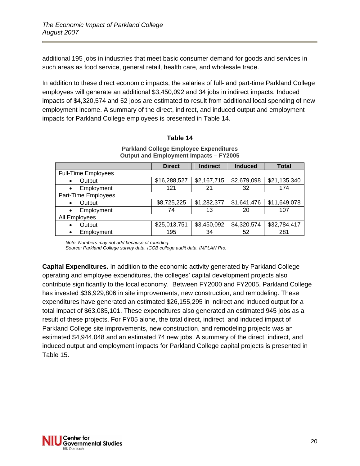additional 195 jobs in industries that meet basic consumer demand for goods and services in such areas as food service, general retail, health care, and wholesale trade.

In addition to these direct economic impacts, the salaries of full- and part-time Parkland College employees will generate an additional \$3,450,092 and 34 jobs in indirect impacts. Induced impacts of \$4,320,574 and 52 jobs are estimated to result from additional local spending of new employment income. A summary of the direct, indirect, and induced output and employment impacts for Parkland College employees is presented in Table 14.

#### **Table 14**

| $\sim$ . The case of the contract of $\mu$ . The contract of the contract of the contract of the contract of $\mu$ |               |                 |                |              |  |
|--------------------------------------------------------------------------------------------------------------------|---------------|-----------------|----------------|--------------|--|
|                                                                                                                    | <b>Direct</b> | <b>Indirect</b> | <b>Induced</b> | <b>Total</b> |  |
| <b>Full-Time Employees</b>                                                                                         |               |                 |                |              |  |
| Output<br>$\bullet$                                                                                                | \$16,288,527  | \$2,167,715     | \$2,679,098    | \$21,135,340 |  |
| Employment<br>$\bullet$                                                                                            | 121           | 21              | 32             | 174          |  |
| Part-Time Employees                                                                                                |               |                 |                |              |  |
| Output<br>$\bullet$                                                                                                | \$8,725,225   | \$1,282,377     | \$1,641,476    | \$11,649,078 |  |
| Employment<br>$\bullet$                                                                                            | 74            | 13              | 20             | 107          |  |
| All Employees                                                                                                      |               |                 |                |              |  |
| Output<br>$\bullet$                                                                                                | \$25,013,751  | \$3,450,092     | \$4,320,574    | \$32,784,417 |  |
| Employment<br>$\bullet$                                                                                            | 195           | 34              | 52             | 281          |  |

#### **Parkland College Employee Expenditures Output and Employment Impacts – FY2005**

*Note: Numbers may not add because of rounding.* 

*Source: Parkland College survey data, ICCB college audit data, IMPLAN Pro.*

**Capital Expenditures.** In addition to the economic activity generated by Parkland College operating and employee expenditures, the colleges' capital development projects also contribute significantly to the local economy. Between FY2000 and FY2005, Parkland College has invested \$36,929,806 in site improvements, new construction, and remodeling. These expenditures have generated an estimated \$26,155,295 in indirect and induced output for a total impact of \$63,085,101. These expenditures also generated an estimated 945 jobs as a result of these projects. For FY05 alone, the total direct, indirect, and induced impact of Parkland College site improvements, new construction, and remodeling projects was an estimated \$4,944,048 and an estimated 74 new jobs. A summary of the direct, indirect, and induced output and employment impacts for Parkland College capital projects is presented in Table 15.

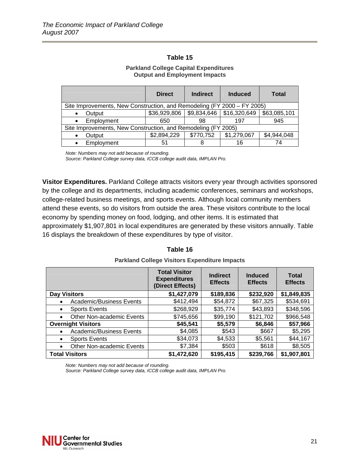#### **Parkland College Capital Expenditures Output and Employment Impacts**

|                                                               | <b>Direct</b>                                                           | <b>Indirect</b> | <b>Induced</b>                               | Total        |  |  |
|---------------------------------------------------------------|-------------------------------------------------------------------------|-----------------|----------------------------------------------|--------------|--|--|
|                                                               | Site Improvements, New Construction, and Remodeling (FY 2000 - FY 2005) |                 |                                              |              |  |  |
| Output                                                        |                                                                         |                 | $$36,929,806$   $$9,834,646$   $$16,320,649$ | \$63,085,101 |  |  |
| Employment                                                    | 650                                                                     | 98              | 197                                          | 945          |  |  |
| Site Improvements, New Construction, and Remodeling (FY 2005) |                                                                         |                 |                                              |              |  |  |
| Output                                                        | \$2,894,229                                                             | \$770,752       | \$1,279,067                                  | \$4,944,048  |  |  |
| Employment                                                    | 51                                                                      |                 | 16                                           | 74           |  |  |

*Note: Numbers may not add because of rounding.* 

*Source: Parkland College survey data, ICCB college audit data, IMPLAN Pro.*

**Visitor Expenditures.** Parkland College attracts visitors every year through activities sponsored by the college and its departments, including academic conferences, seminars and workshops, college-related business meetings, and sports events. Although local community members attend these events, so do visitors from outside the area. These visitors contribute to the local economy by spending money on food, lodging, and other items. It is estimated that approximately \$1,907,801 in local expenditures are generated by these visitors annually. Table 16 displays the breakdown of these expenditures by type of visitor.

|                                        | <b>Total Visitor</b><br><b>Expenditures</b><br>(Direct Effects) | <b>Indirect</b><br><b>Effects</b> | <b>Induced</b><br><b>Effects</b> | <b>Total</b><br><b>Effects</b> |
|----------------------------------------|-----------------------------------------------------------------|-----------------------------------|----------------------------------|--------------------------------|
| <b>Day Visitors</b>                    | \$1,427,079                                                     | \$189,836                         | \$232,920                        | \$1,849,835                    |
| <b>Academic/Business Events</b>        | \$412,494                                                       | \$54,872                          | \$67,325                         | \$534,691                      |
| <b>Sports Events</b><br>٠              | \$268,929                                                       | \$35,774                          | \$43,893                         | \$348,596                      |
| Other Non-academic Events<br>$\bullet$ | \$745,656                                                       | \$99,190                          | \$121,702                        | \$966,548                      |
| <b>Overnight Visitors</b>              | \$45,541                                                        | \$5,579                           | \$6,846                          | \$57,966                       |
| <b>Academic/Business Events</b>        | \$4,085                                                         | \$543                             | \$667                            | \$5,295                        |
| <b>Sports Events</b><br>$\bullet$      | \$34,073                                                        | \$4,533                           | \$5,561                          | \$44,167                       |
| Other Non-academic Events<br>$\bullet$ | \$7,384                                                         | \$503                             | \$618                            | \$8,505                        |
| <b>Total Visitors</b>                  | \$1,472,620                                                     | \$195,415                         | \$239,766                        | \$1,907,801                    |

# **Table 16 Parkland College Visitors Expenditure Impacts**

*Note: Numbers may not add because of rounding.* 

*Source: Parkland College survey data, ICCB college audit data, IMPLAN Pro.*

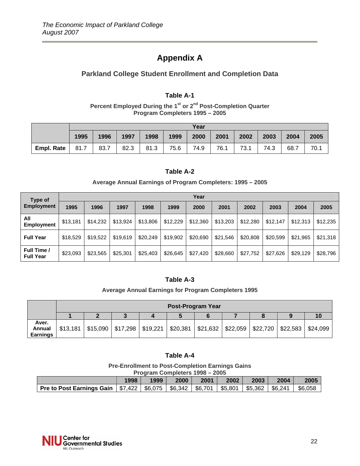# **Appendix A**

# **Parkland College Student Enrollment and Completion Data**

#### **Table A-1**

Percent Employed During the 1<sup>st</sup> or 2<sup>nd</sup> Post-Completion Quarter **Program Completers 1995 – 2005** 

|                   | Year |      |      |      |      |      |      |      |      |      |      |
|-------------------|------|------|------|------|------|------|------|------|------|------|------|
|                   | 1995 | 1996 | 1997 | 1998 | 1999 | 2000 | 2001 | 2002 | 2003 | 2004 | 2005 |
| <b>Empl. Rate</b> | 81.7 | 83.7 | 82.3 | 81.3 | 75.6 | 74.9 | 76.1 | 73.1 | 74.3 | 68.7 | 70.1 |

## **Table A-2**

#### **Average Annual Earnings of Program Completers: 1995 – 2005**

| Type of<br><b>Employment</b>    | Year     |          |          |          |          |          |          |          |          |          |          |
|---------------------------------|----------|----------|----------|----------|----------|----------|----------|----------|----------|----------|----------|
|                                 | 1995     | 1996     | 1997     | 1998     | 1999     | 2000     | 2001     | 2002     | 2003     | 2004     | 2005     |
| All<br>Employment               | \$13,181 | \$14,232 | \$13,924 | \$13,806 | \$12,229 | \$12,360 | \$13,203 | \$12,280 | \$12,147 | \$12,313 | \$12,235 |
| <b>Full Year</b>                | \$18,529 | \$19,522 | \$19,619 | \$20,249 | \$19,902 | \$20,690 | \$21,546 | \$20,808 | \$20,599 | \$21,965 | \$21,318 |
| Full Time /<br><b>Full Year</b> | \$23,093 | \$23,565 | \$25,301 | \$25,403 | \$26,645 | \$27,420 | \$28,660 | \$27,752 | \$27,626 | \$29,129 | \$28,796 |

## **Table A-3**

#### **Average Annual Earnings for Program Completers 1995**

|                                    | <b>Post-Program Year</b> |  |                                                                                                           |  |  |  |  |  |  |  |  |
|------------------------------------|--------------------------|--|-----------------------------------------------------------------------------------------------------------|--|--|--|--|--|--|--|--|
|                                    |                          |  |                                                                                                           |  |  |  |  |  |  |  |  |
| Aver.<br>Annual<br><b>Earnings</b> | \$13,181                 |  | $$15,090$   $$17,298$   $$19,221$   $$20,381$   $$21,632$   $$22,059$   $$22,720$   $$22,583$   $$24,099$ |  |  |  |  |  |  |  |  |

#### **Table A-4**

#### **Pre-Enrollment to Post-Completion Earnings Gains Program Completers 1998 – 2005**

| <b>FIGUIAL COMPLETS 1990 - 2003</b>                                      |      |      |      |      |                       |         |         |         |  |
|--------------------------------------------------------------------------|------|------|------|------|-----------------------|---------|---------|---------|--|
|                                                                          | 1998 | 1999 | 2000 | 2001 | 2002                  | 2003    | 2004    | 2005    |  |
| <b>Pre to Post Earnings Gain   \$7,422   \$6,075   \$6,342   \$6,701</b> |      |      |      |      | $\frac{1}{2}$ \$5,801 | \$5,362 | \$6,241 | \$6,058 |  |